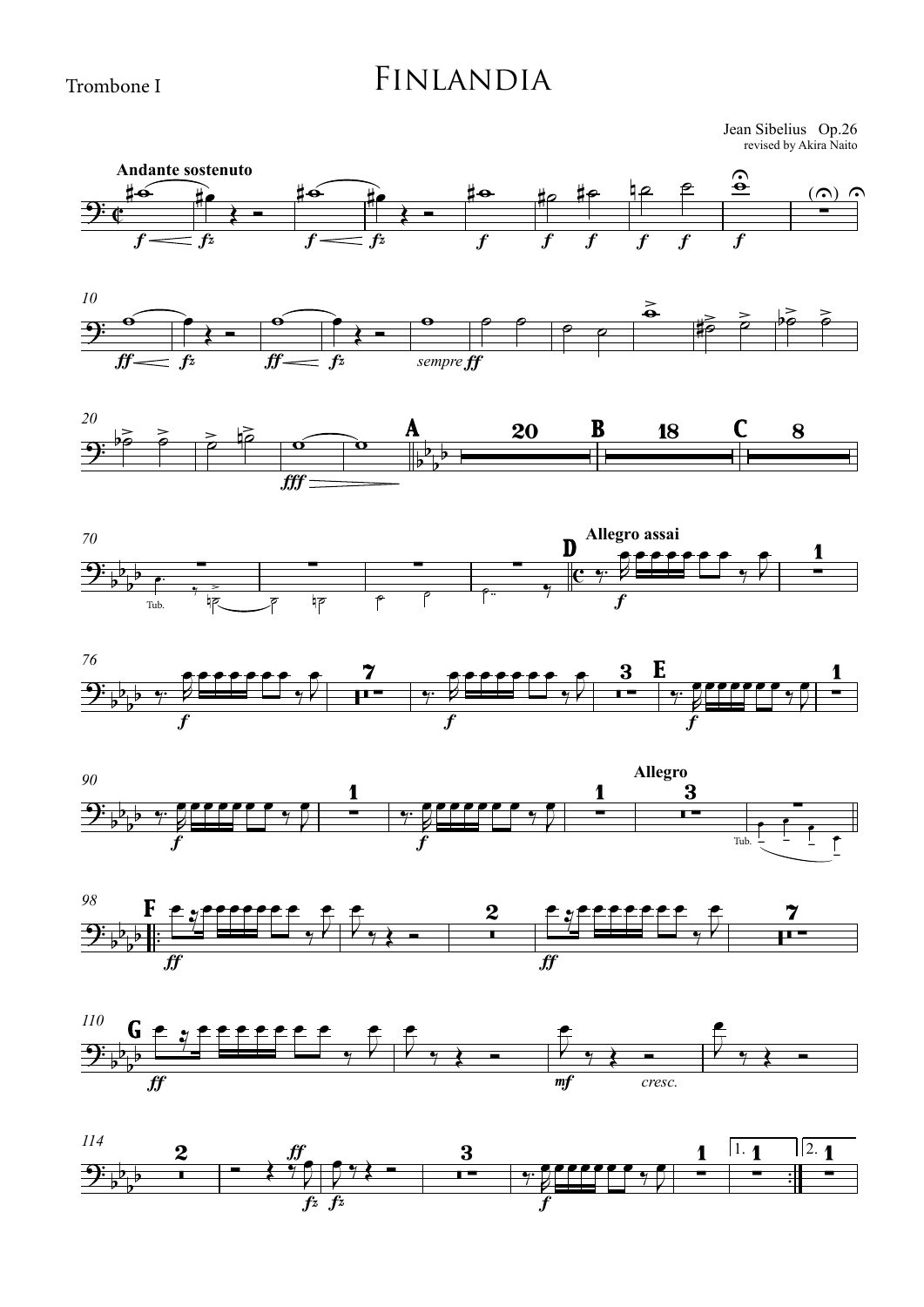Trombone I

## Finlandia

revised by Akira Naito Jean Sibelius Op.26

















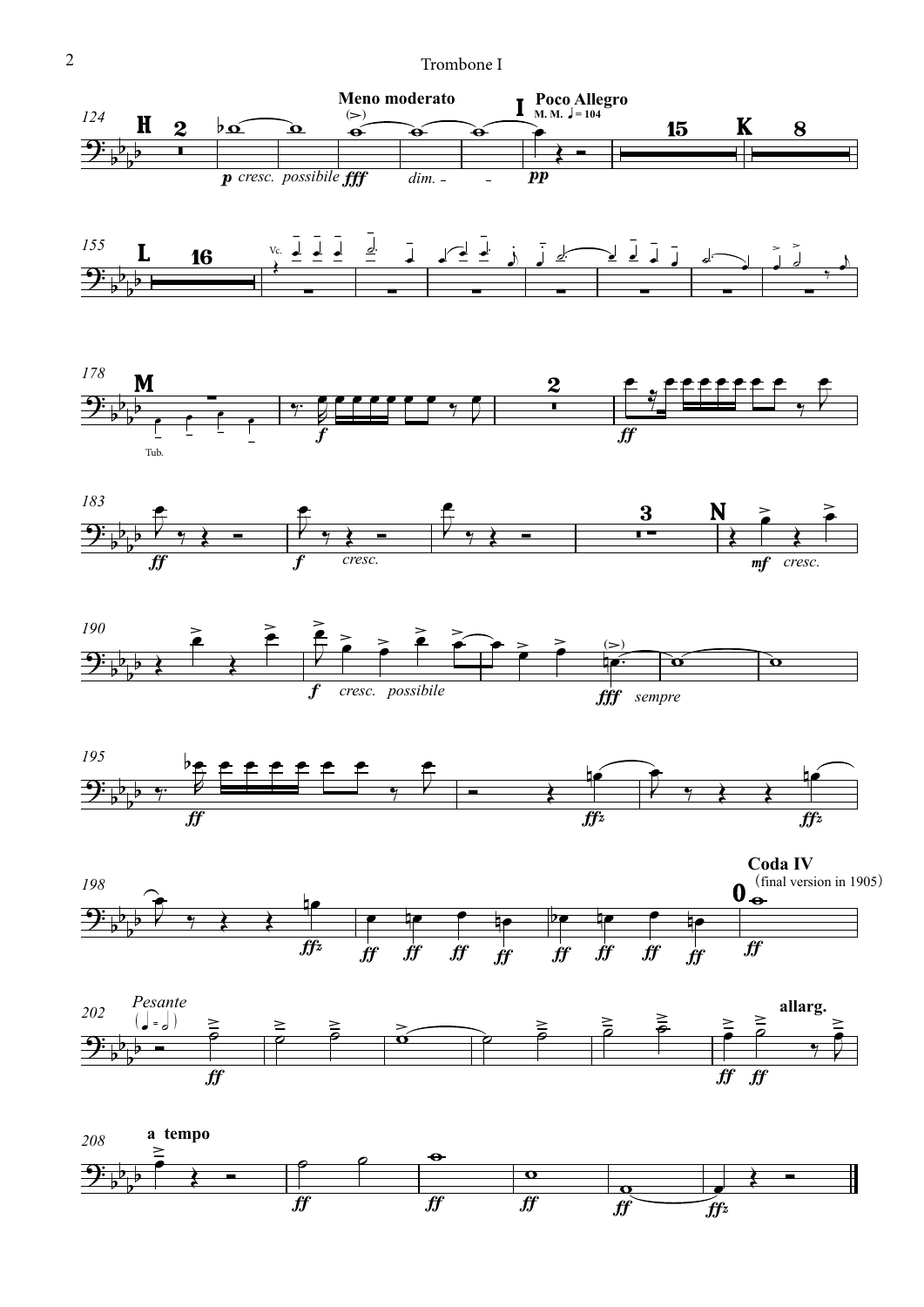